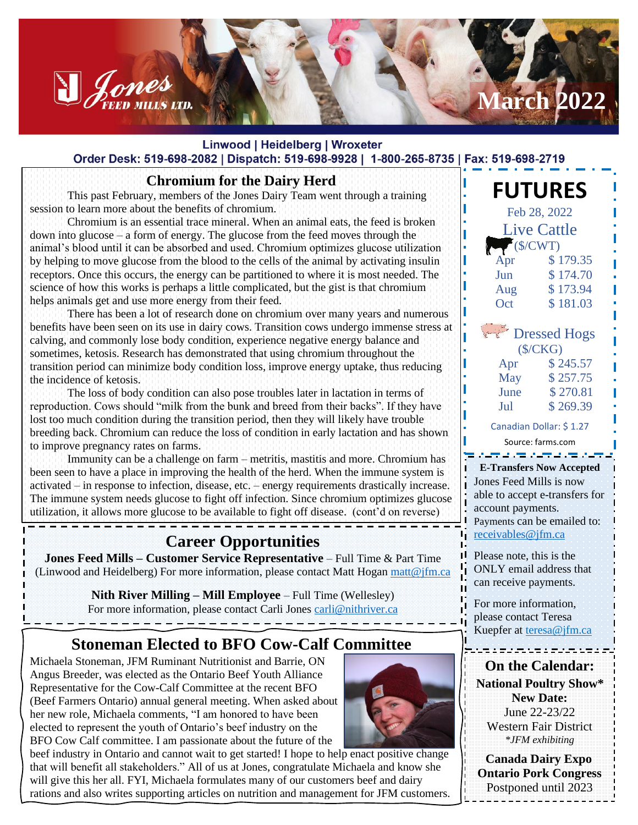### Linwood | Heidelberg | Wroxeter Order Desk: 519-698-2082 | Dispatch: 519-698-9928 | 1-800-265-8735 | Fax: 519-698-2719

### **Chromium for the Dairy Herd**

This past February, members of the Jones Dairy Team went through a training session to learn more about the benefits of chromium.

Denes

Chromium is an essential trace mineral. When an animal eats, the feed is broken down into glucose – a form of energy. The glucose from the feed moves through the animal's blood until it can be absorbed and used. Chromium optimizes glucose utilization by helping to move glucose from the blood to the cells of the animal by activating insulin receptors. Once this occurs, the energy can be partitioned to where it is most needed. The science of how this works is perhaps a little complicated, but the gist is that chromium helps animals get and use more energy from their feed.

There has been a lot of research done on chromium over many years and numerous benefits have been seen on its use in dairy cows. Transition cows undergo immense stress at calving, and commonly lose body condition, experience negative energy balance and sometimes, ketosis. Research has demonstrated that using chromium throughout the transition period can minimize body condition loss, improve energy uptake, thus reducing the incidence of ketosis.

The loss of body condition can also pose troubles later in lactation in terms of reproduction. Cows should "milk from the bunk and breed from their backs". If they have lost too much condition during the transition period, then they will likely have trouble breeding back. Chromium can reduce the loss of condition in early lactation and has shown to improve pregnancy rates on farms.

Immunity can be a challenge on farm – metritis, mastitis and more. Chromium has been seen to have a place in improving the health of the herd. When the immune system is activated – in response to infection, disease, etc. – energy requirements drastically increase. The immune system needs glucose to fight off infection. Since chromium optimizes glucose utilization, it allows more glucose to be available to fight off disease. (cont'd on reverse)

# **Career Opportunities**

**Jones Feed Mills – Customer Service Representative** – Full Time & Part Time (Linwood and Heidelberg) For more information, please contact Matt Hogan [matt@jfm.ca](mailto:matt@jfm.ca)

> **Nith River Milling – Mill Employee** – Full Time (Wellesley) For more information, please contact Carli Jones [carli@nithriver.ca](mailto:carli@nithriver.ca)

> > <u>. . . . . . . .</u>

# **Stoneman Elected to BFO Cow-Calf Committee**

Michaela Stoneman, JFM Ruminant Nutritionist and Barrie, ON Angus Breeder, was elected as the Ontario Beef Youth Alliance Representative for the Cow-Calf Committee at the recent BFO (Beef Farmers Ontario) annual general meeting. When asked about her new role, Michaela comments, "I am honored to have been elected to represent the youth of Ontario's beef industry on the BFO Cow Calf committee. I am passionate about the future of the







**March 2022**

 **Canada Dairy Expo Ontario Pork Congress** Postponed until 2023